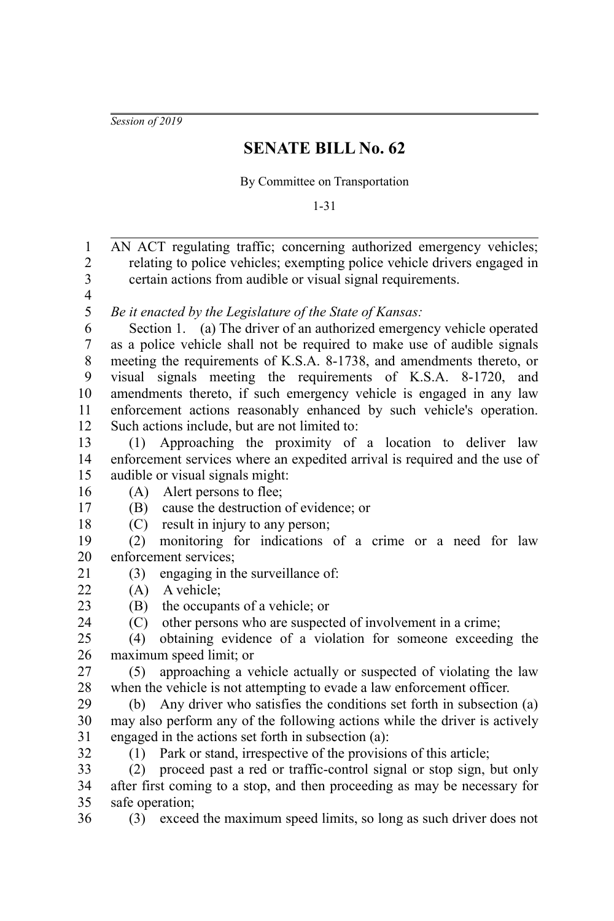*Session of 2019*

## **SENATE BILL No. 62**

By Committee on Transportation

1-31

AN ACT regulating traffic; concerning authorized emergency vehicles; relating to police vehicles; exempting police vehicle drivers engaged in certain actions from audible or visual signal requirements. *Be it enacted by the Legislature of the State of Kansas:* Section 1. (a) The driver of an authorized emergency vehicle operated as a police vehicle shall not be required to make use of audible signals meeting the requirements of K.S.A. 8-1738, and amendments thereto, or visual signals meeting the requirements of K.S.A. 8-1720, and amendments thereto, if such emergency vehicle is engaged in any law enforcement actions reasonably enhanced by such vehicle's operation. Such actions include, but are not limited to: (1) Approaching the proximity of a location to deliver law enforcement services where an expedited arrival is required and the use of audible or visual signals might: (A) Alert persons to flee; (B) cause the destruction of evidence; or (C) result in injury to any person; (2) monitoring for indications of a crime or a need for law enforcement services; (3) engaging in the surveillance of: (A) A vehicle; (B) the occupants of a vehicle; or (C) other persons who are suspected of involvement in a crime; (4) obtaining evidence of a violation for someone exceeding the maximum speed limit; or (5) approaching a vehicle actually or suspected of violating the law when the vehicle is not attempting to evade a law enforcement officer. (b) Any driver who satisfies the conditions set forth in subsection (a) may also perform any of the following actions while the driver is actively engaged in the actions set forth in subsection (a): (1) Park or stand, irrespective of the provisions of this article; (2) proceed past a red or traffic-control signal or stop sign, but only after first coming to a stop, and then proceeding as may be necessary for safe operation; 1 2 3 4 5 6 7 8 9 10 11 12 13 14 15 16 17 18 19 20 21 22 23  $24$ 25 26 27 28 29 30 31 32 33 34 35 36

(3) exceed the maximum speed limits, so long as such driver does not